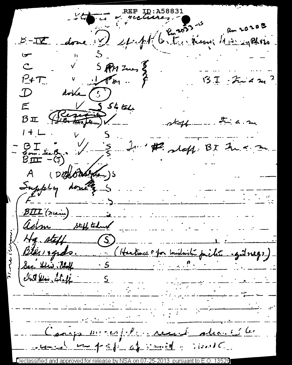REF ID:A5 5-II donc Depublished how how the races  $V = 5R + 2m$  $\mathcal{C}$  $137 - 242$  $P + T$ doke  $\left(\begin{array}{c} \circ \\ \circ \end{array}\right)$  $\mathcal{D}$ Registration  $\mathcal{F}$  $\beta$  II Fini a. m  $\alpha$ taff  $1 + L$  $\frac{BT}{B}$   $\frac{1}{100}$   $\frac{1}{5}$   $\frac{1}{10}$ He steff: BI Fu < 3 A (DELORAGE) Supply don't s BIII (nuin) asim stiff talent  $H_4.$  ptiff  $(S)$ Blées ogads. (Hutune et a mishirité piche systement) Sec Shir 1864 S  $ln 5$  les staff  $5$ <u> Andrewski komzet a strong de la produkcji po</u> Caropa messagelle recent alimentale runed by paper of senid : shows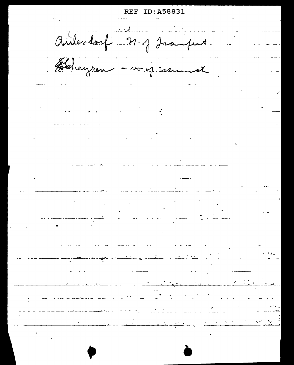ID:A58831 Airlandarf - 21. J Jramfint. Bleheyren - so of munich  $\label{eq:2.1} \frac{1}{2} \sum_{i=1}^n \frac{1}{2} \sum_{j=1}^n \frac{1}{2} \sum_{j=1}^n \frac{1}{2} \sum_{j=1}^n \frac{1}{2} \sum_{j=1}^n \frac{1}{2} \sum_{j=1}^n \frac{1}{2} \sum_{j=1}^n \frac{1}{2} \sum_{j=1}^n \frac{1}{2} \sum_{j=1}^n \frac{1}{2} \sum_{j=1}^n \frac{1}{2} \sum_{j=1}^n \frac{1}{2} \sum_{j=1}^n \frac{1}{2} \sum_{j=1}^n \frac{$  $\frac{1}{2}$  . The contract of the contract of  $\frac{1}{2}$  $\frac{1}{\sqrt{2}}\left(\frac{1}{\sqrt{2}}\right)^{2} \left(\frac{1}{\sqrt{2}}\right)^{2} \left(\frac{1}{\sqrt{2}}\right)^{2} \left(\frac{1}{\sqrt{2}}\right)^{2} \left(\frac{1}{\sqrt{2}}\right)^{2} \left(\frac{1}{\sqrt{2}}\right)^{2} \left(\frac{1}{\sqrt{2}}\right)^{2} \left(\frac{1}{\sqrt{2}}\right)^{2} \left(\frac{1}{\sqrt{2}}\right)^{2} \left(\frac{1}{\sqrt{2}}\right)^{2} \left(\frac{1}{\sqrt{2}}\right)^{2} \left(\frac{1}{\sqrt{2}}$ المستشفى<br>المواليد المستشفى المستشفى المستشفى المستشفى المستشفى المستشفى المستشفى المستشفى المستشفى المستشفى المستشفى ا  $\frac{1}{2}$  ,  $\frac{1}{2}$  ,  $\frac{1}{2}$  ,  $\frac{1}{2}$  ,  $\frac{1}{2}$  $\frac{1}{2}$   $\frac{1}{2}$   $\frac{1}{2}$   $\frac{1}{2}$   $\frac{1}{2}$   $\frac{1}{2}$   $\frac{1}{2}$   $\frac{1}{2}$   $\frac{1}{2}$   $\frac{1}{2}$   $\frac{1}{2}$   $\frac{1}{2}$   $\frac{1}{2}$   $\frac{1}{2}$   $\frac{1}{2}$   $\frac{1}{2}$   $\frac{1}{2}$   $\frac{1}{2}$   $\frac{1}{2}$   $\frac{1}{2}$   $\frac{1}{2}$   $\frac{1}{2}$  <u>a se construir a compan</u>dad de la construir de la construir de la construir de la construir de la construir de  $\mathcal{L} = \mathcal{L} \mathcal{L} \mathcal{L}$  . الأراد المستحدث والمستحدث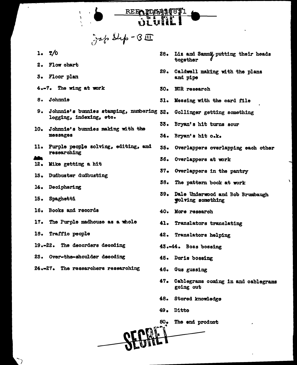

Jap Sup-BI

- $\mathbf{T}/0$  $1.$
- 2. Flow chart
- 3. Floor plan
- 4.-7. The wing at work
- 8. Johnnie
- 9. Johnnie's bunnies stamping, numbering 32. Gollinger getting something logging, indexing, etc.
- 10. Johnnie's bunnies making with the **messages**
- 11. Purple people solving, editing, and researching
- 
- 12. Mike getting a hit
- 13. Dudbuster dudbusting
- 14. Deciphering
- 15. Spaghetti
- 16. Books and records
- 17. The Purple madhouse as a whole
- 18. Traffic people
- 19.-22. The decorders decoding
- 23. Over-the-shoulder decoding
- 24.-27. The researchers researching
- Liz and Sammi putting their heads  $28$ torether
- 29. Caldwell making with the plans and pipe
- 30. NCR research
- 31. Messing with the card file
- 
- 33. Bryan's hit turns sour
- 34. Bryan's hit o.k.
- 35. Overlappers overlapping each other
- Overlappers at work 36.
- 37. Overlappers in the pantry
- 38. The pattern book at work
- 39. Dale Underwood and Bob Brumbaugh **Tolving** something
- 40. More research
- 41. Translators translating
- 42. Translators helping
- 43.44. Boss bossing
- 45. Doris bossing
- 46. Gus gussing
- 47. Cablegrams coming in and cablegrams going out
- 48. Stored knowledge
- 49. Ditto
- $50<sub>o</sub>$ The end product